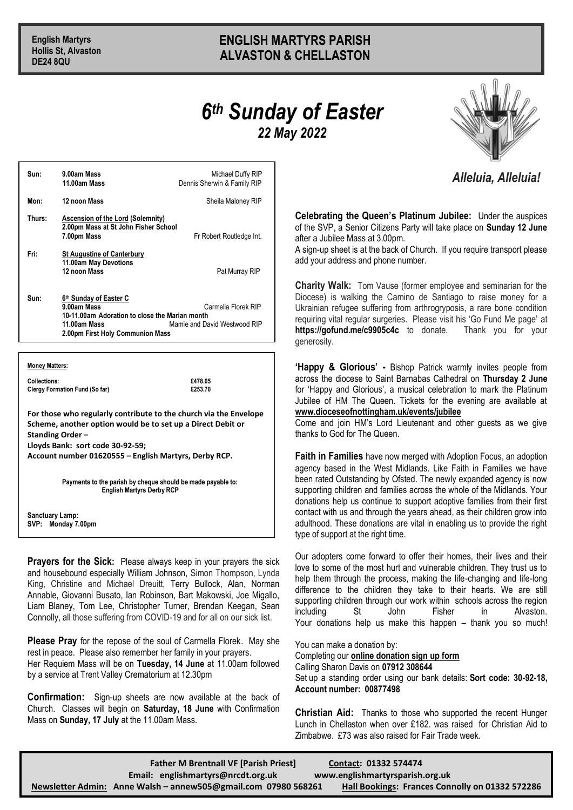# **English Martyrs ENGLISH MARTYRS PARISH Hollis St, Alvaston ALVASTON & CHELLASTON**

# *6 th Sunday of Easter 22 May 2022*



## *Alleluia, Alleluia!*

**Celebrating the Queen's Platinum Jubilee:** Under the auspices of the SVP, a Senior Citizens Party will take place on **Sunday 12 June** after a Jubilee Mass at 3.00pm.

A sign-up sheet is at the back of Church. If you require transport please add your address and phone number.

**Charity Walk:** Tom Vause (former employee and seminarian for the Diocese) is walking the Camino de Santiago to raise money for a Ukrainian refugee suffering from arthrogryposis, a rare bone condition requiring vital regular surgeries. Please visit his 'Go Fund Me page' at **https://gofund.me/c9905c4c** to donate. Thank you for your generosity.

**'Happy & Glorious' -** Bishop Patrick warmly invites people from across the diocese to Saint Barnabas Cathedral on **Thursday 2 June** for 'Happy and Glorious', a musical celebration to mark the Platinum Jubilee of HM The Queen. Tickets for the evening are available at **www.dioceseofnottingham.uk/events/jubilee**

Come and join HM's Lord Lieutenant and other guests as we give thanks to God for The Queen.

**Faith in Families** have now merged with Adoption Focus, an adoption agency based in the West Midlands. Like Faith in Families we have been rated Outstanding by Ofsted. The newly expanded agency is now supporting children and families across the whole of the Midlands. Your donations help us continue to support adoptive families from their first contact with us and through the years ahead, as their children grow into adulthood. These donations are vital in enabling us to provide the right type of support at the right time.

Our adopters come forward to offer their homes, their lives and their love to some of the most hurt and vulnerable children. They trust us to help them through the process, making the life-changing and life-long difference to the children they take to their hearts. We are still supporting children through our work within schools across the region including St John Fisher in Alvaston. Your donations help us make this happen – thank you so much!

You can make a donation by: Completing our **[online donation sign up form](https://adoption-focus.us6.list-manage.com/track/click?u=cd885dba870321764d11822e0&id=897163ce09&e=f2ff89cb7d)** Calling Sharon Davis on **07912 308644**

Set up a standing order using our bank details: **Sort code: 30-92-18, Account number: 00877498**

**Christian Aid:** Thanks to those who supported the recent Hunger Lunch in Chellaston when over £182. was raised for Christian Aid to Zimbabwe. £73 was also raised for Fair Trade week.

| Sun:   | 9.00am Mass<br>11.00am Mass                                                                                                                                                                                    | Michael Duffy RIP<br>Dennis Sherwin & Family RIP |
|--------|----------------------------------------------------------------------------------------------------------------------------------------------------------------------------------------------------------------|--------------------------------------------------|
| Mon:   | 12 noon Mass                                                                                                                                                                                                   | Sheila Maloney RIP                               |
| Thurs: | <b>Ascension of the Lord (Solemnity)</b><br>2.00pm Mass at St John Fisher School<br>7.00pm Mass                                                                                                                | Fr Robert Routledge Int.                         |
| Fri:   | <b>St Augustine of Canterbury</b><br>11.00am May Devotions<br>12 noon Mass                                                                                                                                     | Pat Murray RIP                                   |
| Sun:   | 6 <sup>th</sup> Sunday of Easter C<br>Carmella Florek RIP<br>9.00am Mass<br>10-11.00am Adoration to close the Marian month<br>11.00am Mass<br>Mamie and David Westwood RIP<br>2.00pm First Holy Communion Mass |                                                  |
|        |                                                                                                                                                                                                                |                                                  |

#### **Money Matters:**

**Collections: £478.05 Clergy Formation Fund (So far)** 

**For those who regularly contribute to the church via the Envelope Scheme, another option would be to set up a Direct Debit or Standing Order –**

**Lloyds Bank: sort code 30-92-59;** 

**Account number 01620555 – English Martyrs, Derby RCP.**

**Payments to the parish by cheque should be made payable to: English Martyrs Derby RCP**

**Sanctuary Lamp: SVP: Monday 7.00pm** 

**Prayers for the Sick:** Please always keep in your prayers the sick and housebound especially William Johnson, Simon Thompson, Lynda King, Christine and Michael Dreuitt, Terry Bullock, Alan, Norman Annable, Giovanni Busato, Ian Robinson, Bart Makowski, Joe Migallo, Liam Blaney, Tom Lee, Christopher Turner, Brendan Keegan, Sean Connolly, all those suffering from COVID-19 and for all on our sick list.

**Please Pray** for the repose of the soul of Carmella Florek. May she rest in peace. Please also remember her family in your prayers.

Her Requiem Mass will be on **Tuesday, 14 June** at 11.00am followed by a service at Trent Valley Crematorium at 12.30pm

**Confirmation:** Sign-up sheets are now available at the back of Church. Classes will begin on **Saturday, 18 June** with Confirmation Mass on **Sunday, 17 July** at the 11.00am Mass.

**Father M Brentnall VF [Parish Priest] Contact: 01332 574474 Email: [englishmartyrs@nrcdt.org.uk](mailto:englishmartyrs@nrcdt.org.uk) [www.englishmartyrsparish.org.uk](http://www.englishmartyrsparish.org.uk/) Newsletter Admin: Anne Walsh – [annew505@gmail.com](mailto:annew505@gmail.com) 07980 568261 Hall Bookings: Frances Connolly on 01332 572286**